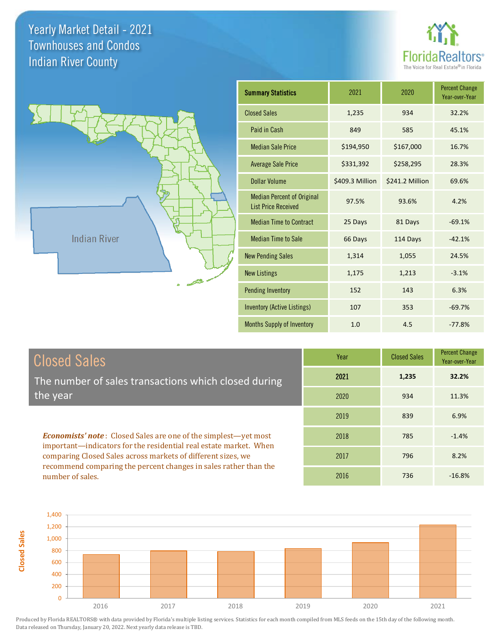**Closed Sales**





| <b>Summary Statistics</b>                                       | 2021            | 2020            | <b>Percent Change</b><br>Year-over-Year |
|-----------------------------------------------------------------|-----------------|-----------------|-----------------------------------------|
| <b>Closed Sales</b>                                             | 1,235           | 934             | 32.2%                                   |
| Paid in Cash                                                    | 849             | 585             | 45.1%                                   |
| <b>Median Sale Price</b>                                        | \$194,950       | \$167,000       | 16.7%                                   |
| <b>Average Sale Price</b>                                       | \$331,392       | \$258,295       | 28.3%                                   |
| <b>Dollar Volume</b>                                            | \$409.3 Million | \$241.2 Million | 69.6%                                   |
| <b>Median Percent of Original</b><br><b>List Price Received</b> | 97.5%           | 93.6%           | 4.2%                                    |
| <b>Median Time to Contract</b>                                  | 25 Days         | 81 Days         | $-69.1%$                                |
| <b>Median Time to Sale</b>                                      | 66 Days         | 114 Days        | $-42.1%$                                |
| <b>New Pending Sales</b>                                        | 1,314           | 1,055           | 24.5%                                   |
| <b>New Listings</b>                                             | 1,175           | 1,213           | $-3.1%$                                 |
| <b>Pending Inventory</b>                                        | 152             | 143             | 6.3%                                    |
| <b>Inventory (Active Listings)</b>                              | 107             | 353             | $-69.7%$                                |
| <b>Months Supply of Inventory</b>                               | 1.0             | 4.5             | $-77.8%$                                |

| <b>Closed Sales</b>                                                                                                                                                                                         | Year | <b>Closed Sales</b> | <b>Percent Change</b><br>Year-over-Year |
|-------------------------------------------------------------------------------------------------------------------------------------------------------------------------------------------------------------|------|---------------------|-----------------------------------------|
| The number of sales transactions which closed during                                                                                                                                                        | 2021 | 1,235               | 32.2%                                   |
| the year                                                                                                                                                                                                    | 2020 | 934                 | 11.3%                                   |
|                                                                                                                                                                                                             | 2019 | 839                 | 6.9%                                    |
| <b>Economists' note:</b> Closed Sales are one of the simplest—yet most<br>important—indicators for the residential real estate market. When<br>comparing Closed Sales across markets of different sizes, we | 2018 | 785                 | $-1.4%$                                 |
|                                                                                                                                                                                                             | 2017 | 796                 | 8.2%                                    |
| recommend comparing the percent changes in sales rather than the<br>number of sales.                                                                                                                        | 2016 | 736                 | $-16.8%$                                |

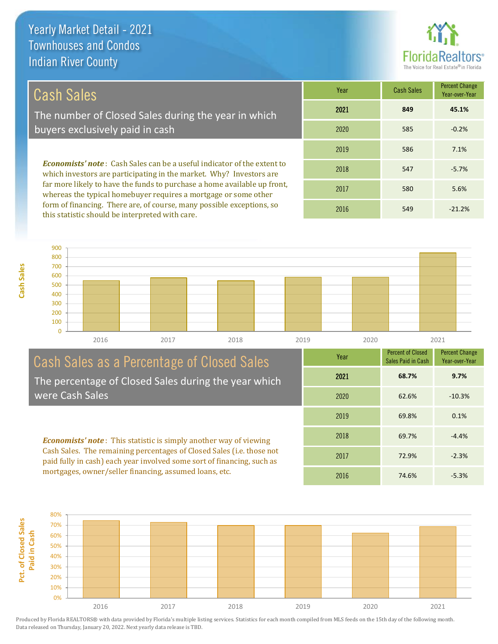

# Cash Sales

The number of Closed Sales during the year in which buyers exclusively paid in cash

*Economists' note* : Cash Sales can be a useful indicator of the extent to which investors are participating in the market. Why? Investors are far more likely to have the funds to purchase a home available up front, whereas the typical homebuyer requires a mortgage or some other form of financing. There are, of course, many possible exceptions, so this statistic should be interpreted with care.

| Year | <b>Cash Sales</b> | <b>Percent Change</b><br>Year-over-Year |
|------|-------------------|-----------------------------------------|
| 2021 | 849               | 45.1%                                   |
| 2020 | 585               | $-0.2%$                                 |
| 2019 | 586               | 7.1%                                    |
| 2018 | 547               | $-5.7%$                                 |
| 2017 | 580               | 5.6%                                    |
| 2016 | 549               | $-21.2%$                                |



#### Cash Sales as a Percentage of Closed Sales The percentage of Closed Sales during the year which were Cash Sales

*Economists' note* : This statistic is simply another way of viewing Cash Sales. The remaining percentages of Closed Sales (i.e. those not paid fully in cash) each year involved some sort of financing, such as mortgages, owner/seller financing, assumed loans, etc.



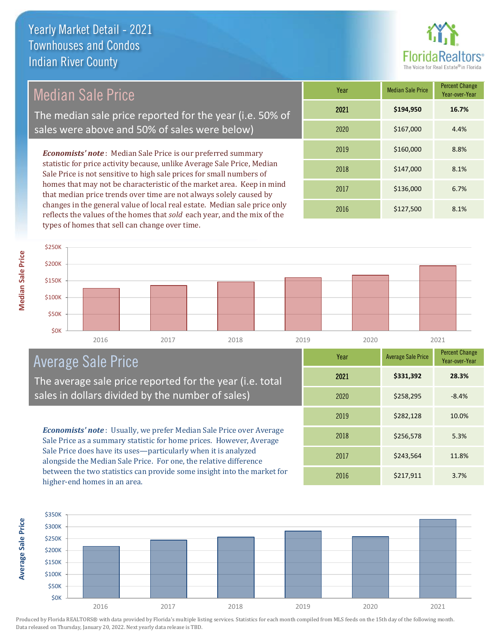

# Median Sale Price

The median sale price reported for the year (i.e. 50% of sales were above and 50% of sales were below)

*Economists' note* : Median Sale Price is our preferred summary statistic for price activity because, unlike Average Sale Price, Median Sale Price is not sensitive to high sale prices for small numbers of homes that may not be characteristic of the market area. Keep in mind that median price trends over time are not always solely caused by changes in the general value of local real estate. Median sale price only reflects the values of the homes that *sold* each year, and the mix of the types of homes that sell can change over time.

| Year | <b>Median Sale Price</b> | <b>Percent Change</b><br>Year-over-Year |
|------|--------------------------|-----------------------------------------|
| 2021 | \$194,950                | 16.7%                                   |
| 2020 | \$167,000                | 4.4%                                    |
| 2019 | \$160,000                | 8.8%                                    |
| 2018 | \$147,000                | 8.1%                                    |
| 2017 | \$136,000                | 6.7%                                    |
| 2016 | \$127,500                | 8.1%                                    |



2016 2017 2018 2019 2020 2021

# Average Sale Price

The average sale price reported for the year (i.e. total sales in dollars divided by the number of sales)

*Economists' note* : Usually, we prefer Median Sale Price over Average Sale Price as a summary statistic for home prices. However, Average Sale Price does have its uses—particularly when it is analyzed alongside the Median Sale Price. For one, the relative difference between the two statistics can provide some insight into the market for higher-end homes in an area.

| Year | <b>Average Sale Price</b> | <b>Percent Change</b><br>Year-over-Year |
|------|---------------------------|-----------------------------------------|
| 2021 | \$331,392                 | 28.3%                                   |
| 2020 | \$258,295                 | $-8.4%$                                 |
| 2019 | \$282,128                 | 10.0%                                   |
| 2018 | \$256,578                 | 5.3%                                    |
| 2017 | \$243,564                 | 11.8%                                   |
| 2016 | \$217,911                 | 3.7%                                    |

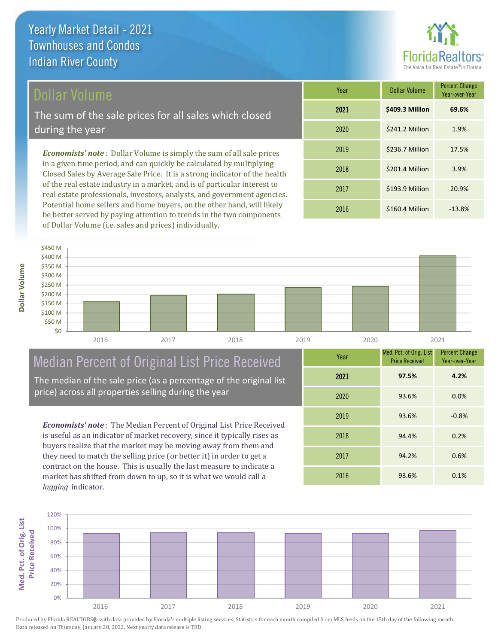## Dollar Volume

The sum of the sale prices for all sales which closed during the year

*Economists' note* : Dollar Volume is simply the sum of all sale prices in a given time period, and can quickly be calculated by multiplying Closed Sales by Average Sale Price. It is a strong indicator of the health of the real estate industry in a market, and is of particular interest to real estate professionals, investors, analysts, and government agencies. Potential home sellers and home buyers, on the other hand, will likely be better served by paying attention to trends in the two components of Dollar Volume (i.e. sales and prices) individually.

| Year | <b>Dollar Volume</b> | <b>Percent Change</b><br>Year-over-Year |
|------|----------------------|-----------------------------------------|
| 2021 | \$409.3 Million      | 69.6%                                   |
| 2020 | \$241.2 Million      | 1.9%                                    |
| 2019 | \$236.7 Million      | 17.5%                                   |
| 2018 | \$201.4 Million      | 3.9%                                    |
| 2017 | \$193.9 Million      | 20.9%                                   |
| 2016 | \$160.4 Million      | $-13.8%$                                |



# Median Percent of Original List Price Received

The median of the sale price (as a percentage of the original list price) across all properties selling during the year

*Economists' note* : The Median Percent of Original List Price Received is useful as an indicator of market recovery, since it typically rises as buyers realize that the market may be moving away from them and they need to match the selling price (or better it) in order to get a contract on the house. This is usually the last measure to indicate a market has shifted from down to up, so it is what we would call a *lagging* indicator.

| Year | Med. Pct. of Orig. List<br><b>Price Received</b> | <b>Percent Change</b><br>Year-over-Year |
|------|--------------------------------------------------|-----------------------------------------|
| 2021 | 97.5%                                            | 4.2%                                    |
| 2020 | 93.6%                                            | 0.0%                                    |
| 2019 | 93.6%                                            | $-0.8%$                                 |
| 2018 | 94.4%                                            | 0.2%                                    |
| 2017 | 94.2%                                            | 0.6%                                    |
| 2016 | 93.6%                                            | 0.1%                                    |

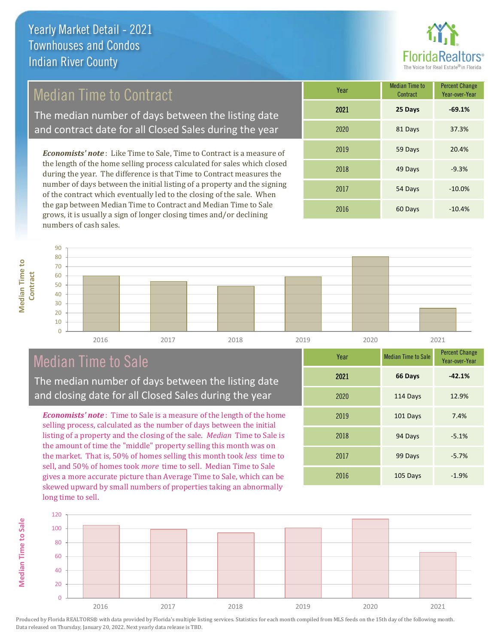

## Median Time to Contract

The median number of days between the listing date and contract date for all Closed Sales during the year

*Economists' note* : Like Time to Sale, Time to Contract is a measure of the length of the home selling process calculated for sales which closed during the year. The difference is that Time to Contract measures the number of days between the initial listing of a property and the signing of the contract which eventually led to the closing of the sale. When the gap between Median Time to Contract and Median Time to Sale grows, it is usually a sign of longer closing times and/or declining numbers of cash sales.

| Year | <b>Median Time to</b><br>Contract | <b>Percent Change</b><br>Year-over-Year |
|------|-----------------------------------|-----------------------------------------|
| 2021 | 25 Days                           | $-69.1%$                                |
| 2020 | 81 Days                           | 37.3%                                   |
| 2019 | 59 Days                           | 20.4%                                   |
| 2018 | 49 Days                           | $-9.3%$                                 |
| 2017 | 54 Days                           | $-10.0%$                                |
| 2016 | 60 Days                           | $-10.4%$                                |



# Median Time to Sale

**Median Time to Sale**

**Median Time to Sale** 

**Median Time to** 

The median number of days between the listing date and closing date for all Closed Sales during the year

*Economists' note* : Time to Sale is a measure of the length of the home selling process, calculated as the number of days between the initial listing of a property and the closing of the sale. *Median* Time to Sale is the amount of time the "middle" property selling this month was on the market. That is, 50% of homes selling this month took *less* time to sell, and 50% of homes took *more* time to sell. Median Time to Sale gives a more accurate picture than Average Time to Sale, which can be skewed upward by small numbers of properties taking an abnormally long time to sell.

| Year | <b>Median Time to Sale</b> | <b>Percent Change</b><br>Year-over-Year |
|------|----------------------------|-----------------------------------------|
| 2021 | 66 Days                    | $-42.1%$                                |
| 2020 | 114 Days                   | 12.9%                                   |
| 2019 | 101 Days                   | 7.4%                                    |
| 2018 | 94 Days                    | $-5.1%$                                 |
| 2017 | 99 Days                    | $-5.7%$                                 |
| 2016 | 105 Days                   | $-1.9%$                                 |

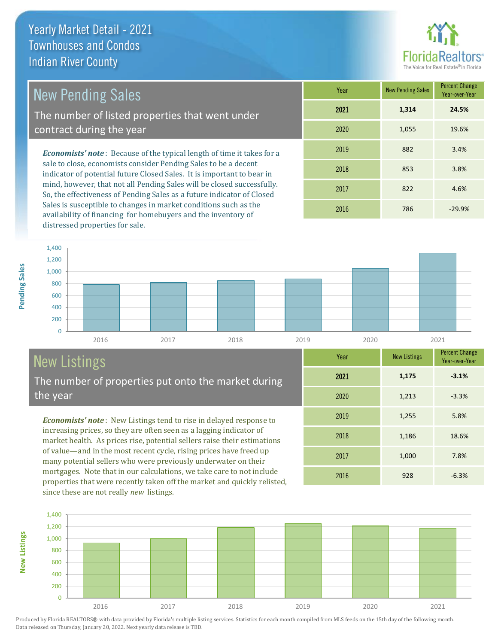

1,186 18.6%

Year-over-Year

**-3.1%**

Year New Listings Percent Change

2016 928 -6.3%

2017 1,000 7.8%

2019 1,255 5.8%

2020 1,213 -3.3%

2021 **1,175**

2018

# New Pending Sales

The number of listed properties that went under contract during the year

*Economists' note* : Because of the typical length of time it takes for a sale to close, economists consider Pending Sales to be a decent indicator of potential future Closed Sales. It is important to bear in mind, however, that not all Pending Sales will be closed successfully. So, the effectiveness of Pending Sales as a future indicator of Closed Sales is susceptible to changes in market conditions such as the availability of financing for homebuyers and the inventory of distressed properties for sale.

| Year | <b>New Pending Sales</b> | <b>Percent Change</b><br>Year-over-Year |
|------|--------------------------|-----------------------------------------|
| 2021 | 1,314                    | 24.5%                                   |
| 2020 | 1,055                    | 19.6%                                   |
| 2019 | 882                      | 3.4%                                    |
| 2018 | 853                      | 3.8%                                    |
| 2017 | 822                      | 4.6%                                    |
| 2016 | 786                      | $-29.9%$                                |



# New Listings

**New Listings**

The number of properties put onto the market during the year

*Economists' note* : New Listings tend to rise in delayed response to increasing prices, so they are often seen as a lagging indicator of market health. As prices rise, potential sellers raise their estimations of value—and in the most recent cycle, rising prices have freed up many potential sellers who were previously underwater on their mortgages. Note that in our calculations, we take care to not include properties that were recently taken off the market and quickly relisted, since these are not really *new* listings.

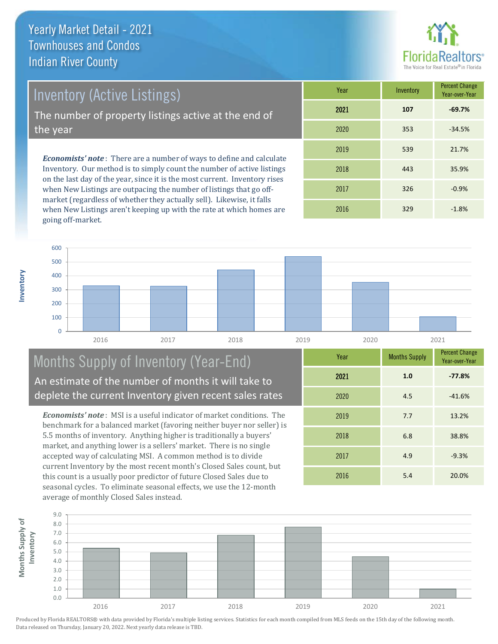

Inventory (Active Listings)

The number of property listings active at the end of the year

*Economists' note* : There are a number of ways to define and calculate Inventory. Our method is to simply count the number of active listings on the last day of the year, since it is the most current. Inventory rises when New Listings are outpacing the number of listings that go offmarket (regardless of whether they actually sell). Likewise, it falls when New Listings aren't keeping up with the rate at which homes are going off-market.

| Year | Inventory | <b>Percent Change</b><br>Year-over-Year |
|------|-----------|-----------------------------------------|
| 2021 | 107       | $-69.7%$                                |
| 2020 | 353       | $-34.5%$                                |
| 2019 | 539       | 21.7%                                   |
| 2018 | 443       | 35.9%                                   |
| 2017 | 326       | $-0.9%$                                 |
| 2016 | 329       | $-1.8%$                                 |



## Months Supply of Inventory (Year-End) An estimate of the number of months it will take to deplete the current Inventory given recent sales rates

*Economists' note* : MSI is a useful indicator of market conditions. The benchmark for a balanced market (favoring neither buyer nor seller) is 5.5 months of inventory. Anything higher is traditionally a buyers' market, and anything lower is a sellers' market. There is no single accepted way of calculating MSI. A common method is to divide current Inventory by the most recent month's Closed Sales count, but this count is a usually poor predictor of future Closed Sales due to seasonal cycles. To eliminate seasonal effects, we use the 12-month average of monthly Closed Sales instead.

| Year | <b>Months Supply</b> | <b>Percent Change</b><br>Year-over-Year |
|------|----------------------|-----------------------------------------|
| 2021 | 1.0                  | $-77.8%$                                |
| 2020 | 4.5                  | $-41.6%$                                |
| 2019 | 7.7                  | 13.2%                                   |
| 2018 | 6.8                  | 38.8%                                   |
| 2017 | 4.9                  | $-9.3%$                                 |
| 2016 | 5.4                  | 20.0%                                   |

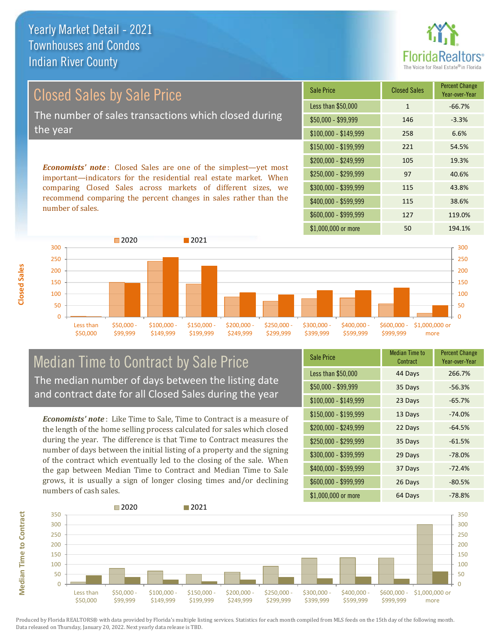**Florid** 

# Closed Sales by Sale Price The number of sales transactions which closed during the year

*Economists' note* : Closed Sales are one of the simplest—yet most important—indicators for the residential real estate market. When comparing Closed Sales across markets of different sizes, we recommend comparing the percent changes in sales rather than the number of sales.

| <b>Sale Price</b>     | <b>Closed Sales</b> | <b>Percent Change</b><br>Year-over-Year |
|-----------------------|---------------------|-----------------------------------------|
| Less than \$50,000    | $\mathbf{1}$        | $-66.7%$                                |
| $$50,000 - $99,999$   | 146                 | $-3.3%$                                 |
| $$100,000 - $149,999$ | 258                 | 6.6%                                    |
| \$150,000 - \$199,999 | 221                 | 54.5%                                   |
| \$200,000 - \$249,999 | 105                 | 19.3%                                   |
| \$250,000 - \$299,999 | 97                  | 40.6%                                   |
| \$300,000 - \$399,999 | 115                 | 43.8%                                   |
| \$400,000 - \$599,999 | 115                 | 38.6%                                   |
| \$600,000 - \$999,999 | 127                 | 119.0%                                  |
| \$1,000,000 or more   | 50                  | 194.1%                                  |



#### Median Time to Contract by Sale Price The median number of days between the listing date and contract date for all Closed Sales during the year

*Economists' note* : Like Time to Sale, Time to Contract is a measure of the length of the home selling process calculated for sales which closed during the year. The difference is that Time to Contract measures the number of days between the initial listing of a property and the signing of the contract which eventually led to the closing of the sale. When the gap between Median Time to Contract and Median Time to Sale grows, it is usually a sign of longer closing times and/or declining numbers of cash sales.

| <b>Sale Price</b>     | <b>Median Time to</b><br>Contract | <b>Percent Change</b><br>Year-over-Year |
|-----------------------|-----------------------------------|-----------------------------------------|
| Less than \$50,000    | 44 Days                           | 266.7%                                  |
| $$50,000 - $99,999$   | 35 Days                           | $-56.3%$                                |
| $$100,000 - $149,999$ | 23 Days                           | $-65.7%$                                |
| $$150,000 - $199,999$ | 13 Days                           | $-74.0%$                                |
| \$200,000 - \$249,999 | 22 Days                           | $-64.5%$                                |
| \$250,000 - \$299,999 | 35 Days                           | $-61.5%$                                |
| \$300,000 - \$399,999 | 29 Days                           | $-78.0%$                                |
| \$400,000 - \$599,999 | 37 Days                           | $-72.4%$                                |
| \$600,000 - \$999,999 | 26 Days                           | $-80.5%$                                |
| \$1,000,000 or more   | 64 Days                           | $-78.8%$                                |



Produced by Florida REALTORS® with data provided by Florida's multiple listing services. Statistics for each month compiled from MLS feeds on the 15th day of the following month. Data released on Thursday, January 20, 2022. Next yearly data release is TBD.

**Median Time to Contract**

**Median Time to Contract**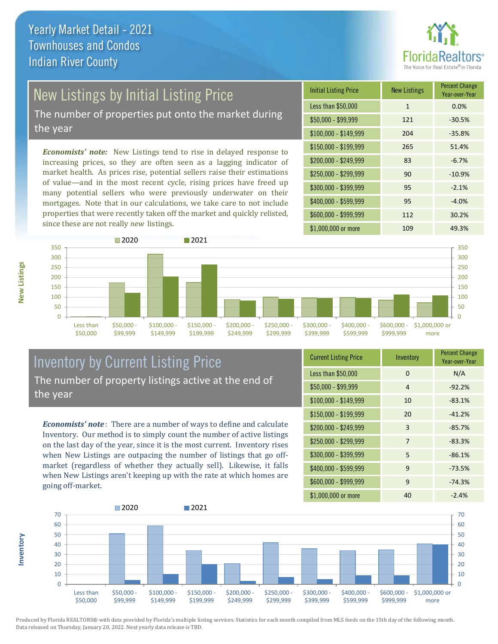

# New Listings by Initial Listing Price

The number of properties put onto the market during the year

*Economists' note:* New Listings tend to rise in delayed response to increasing prices, so they are often seen as a lagging indicator of market health. As prices rise, potential sellers raise their estimations of value—and in the most recent cycle, rising prices have freed up many potential sellers who were previously underwater on their mortgages. Note that in our calculations, we take care to not include properties that were recently taken off the market and quickly relisted, since these are not really *new* listings.

| <b>Initial Listing Price</b> | <b>New Listings</b> | <b>Percent Change</b><br>Year-over-Year |
|------------------------------|---------------------|-----------------------------------------|
| Less than \$50,000           | $\mathbf{1}$        | 0.0%                                    |
| \$50,000 - \$99,999          | 121                 | $-30.5%$                                |
| $$100,000 - $149,999$        | 204                 | $-35.8%$                                |
| $$150,000 - $199,999$        | 265                 | 51.4%                                   |
| \$200,000 - \$249,999        | 83                  | $-6.7%$                                 |
| \$250,000 - \$299,999        | 90                  | $-10.9%$                                |
| \$300,000 - \$399,999        | 95                  | $-2.1%$                                 |
| \$400,000 - \$599,999        | 95                  | $-4.0%$                                 |
| \$600,000 - \$999,999        | 112                 | 30.2%                                   |
| \$1,000,000 or more          | 109                 | 49.3%                                   |



## Inventory by Current Listing Price The number of property listings active at the end of the year

*Economists' note* : There are a number of ways to define and calculate Inventory. Our method is to simply count the number of active listings on the last day of the year, since it is the most current. Inventory rises when New Listings are outpacing the number of listings that go offmarket (regardless of whether they actually sell). Likewise, it falls when New Listings aren't keeping up with the rate at which homes are going off-market.

| <b>Current Listing Price</b> | Inventory | <b>Percent Change</b><br>Year-over-Year |
|------------------------------|-----------|-----------------------------------------|
| Less than \$50,000           | $\Omega$  | N/A                                     |
| $$50,000 - $99,999$          | 4         | $-92.2%$                                |
| $$100,000 - $149,999$        | 10        | $-83.1%$                                |
| $$150,000 - $199,999$        | 20        | $-41.2%$                                |
| \$200,000 - \$249,999        | 3         | $-85.7%$                                |
| \$250,000 - \$299,999        | 7         | $-83.3%$                                |
| \$300,000 - \$399,999        | 5         | $-86.1%$                                |
| \$400,000 - \$599,999        | 9         | $-73.5%$                                |
| \$600,000 - \$999,999        | 9         | $-74.3%$                                |
| \$1,000,000 or more          | 40        | $-2.4%$                                 |



Produced by Florida REALTORS® with data provided by Florida's multiple listing services. Statistics for each month compiled from MLS feeds on the 15th day of the following month. Data released on Thursday, January 20, 2022. Next yearly data release is TBD.

**Inventory**